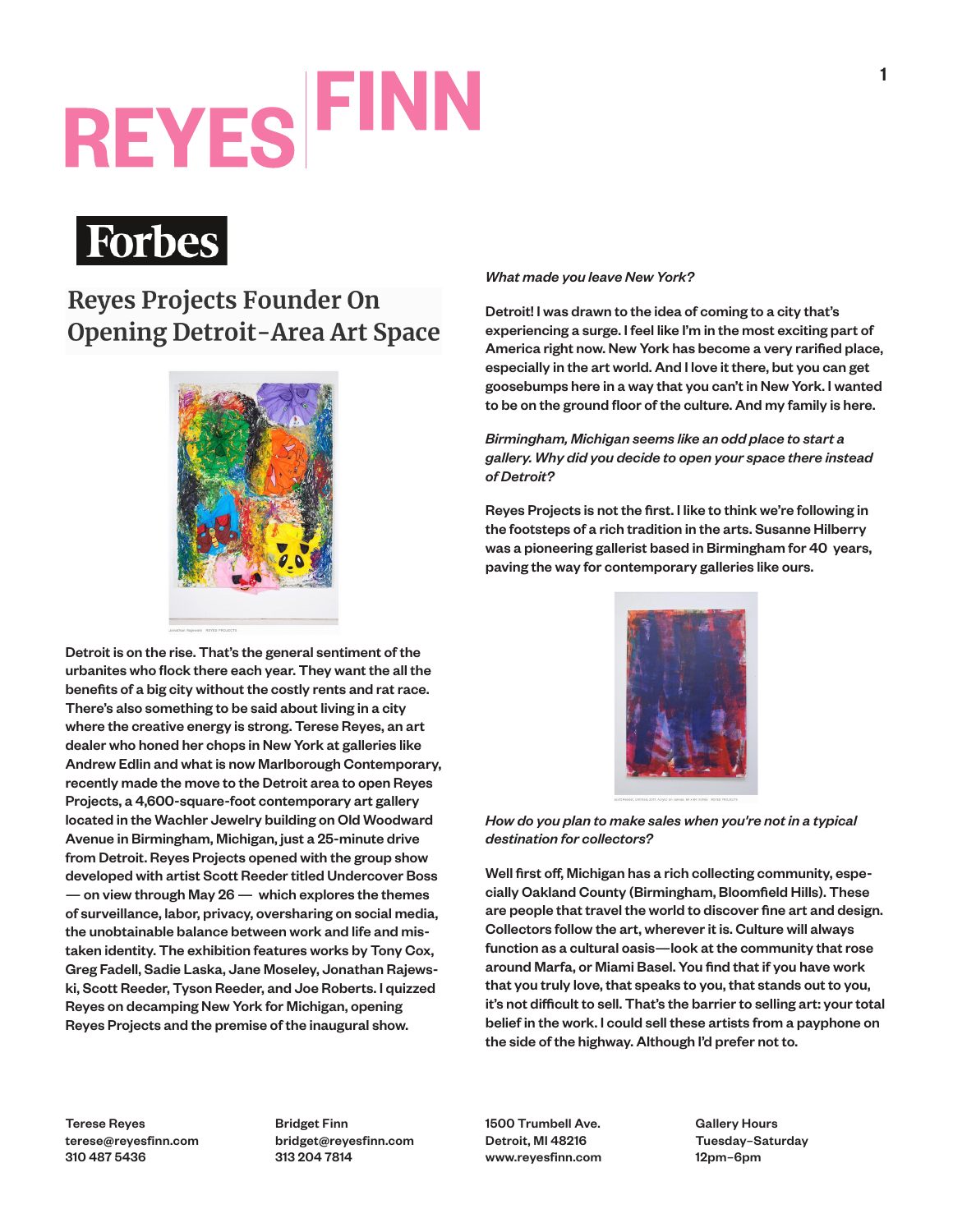# **REYES FINI**



## **Reyes Projects Founder On Opening Detroit-Area Art Space**



Detroit is on the rise. That's the general sentiment of the urbanites who flock there each year. They want the all the benefits of a big city without the costly rents and rat race. There's also something to be said about living in a city where the creative energy is strong. Terese Reyes, an art dealer who honed her chops in New York at galleries like Andrew Edlin and what is now Marlborough Contemporary, recently made the move to the Detroit area to open Reyes Projects, a 4,600-square-foot contemporary art gallery located in the Wachler Jewelry building on Old Woodward Avenue in Birmingham, Michigan, just a 25-minute drive from Detroit. Reyes Projects opened with the group show developed with artist Scott Reeder titled Undercover Boss  $-$  on view through May 26  $-$  which explores the themes of surveillance, labor, privacy, oversharing on social media, the unobtainable balance between work and life and mistaken identity. The exhibition features works by Tony Cox, Greg Fadell, Sadie Laska, Jane Moseley, Jonathan Rajewski, Scott Reeder, Tyson Reeder, and Joe Roberts. I quizzed Reyes on decamping New York for Michigan, opening Reyes Projects and the premise of the inaugural show.

*What made you leave New York?*

Detroit! I was drawn to the idea of coming to a city that's experiencing a surge. I feel like I'm in the most exciting part of America right now. New York has become a very rarified place, especially in the art world. And I love it there, but you can get goosebumps here in a way that you can't in New York. I wanted to be on the ground floor of the culture. And my family is here.

## *Birmingham, Michigan seems like an odd place to start a gallery. Why did you decide to open your space there instead of Detroit?*

Reyes Projects is not the first. I like to think we're following in the footsteps of a rich tradition in the arts. Susanne Hilberry was a pioneering gallerist based in Birmingham for 40 years, paving the way for contemporary galleries like ours.



*How do you plan to make sales when you're not in a typical destination for collectors?*

Well first off, Michigan has a rich collecting community, especially Oakland County (Birmingham, Bloomfield Hills). These are people that travel the world to discover fine art and design. Collectors follow the art, wherever it is. Culture will always function as a cultural oasis—look at the community that rose around Marfa, or Miami Basel. You find that if you have work that you truly love, that speaks to you, that stands out to you, it's not difficult to sell. That's the barrier to selling art: your total belief in the work. I could sell these artists from a payphone on the side of the highway. Although I'd prefer not to.

Terese Reyes terese@reyesfinn.com 310 487 5436

Bridget Finn bridget@reyesfinn.com 313 204 7814

1500 Trumbell Ave. Detroit, MI 48216 www.reyesfinn.com Gallery Hours Tuesday–Saturday 12pm–6pm